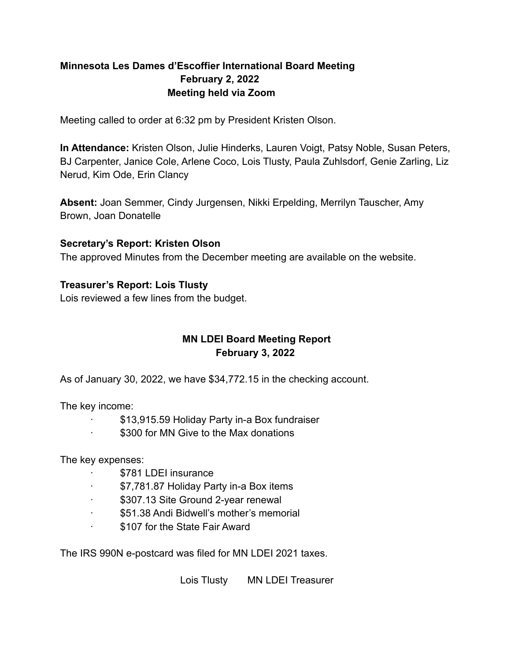# **Minnesota Les Dames d'Escoffier International Board Meeting February 2, 2022 Meeting held via Zoom**

Meeting called to order at 6:32 pm by President Kristen Olson.

**In Attendance:** Kristen Olson, Julie Hinderks, Lauren Voigt, Patsy Noble, Susan Peters, BJ Carpenter, Janice Cole, Arlene Coco, Lois Tlusty, Paula Zuhlsdorf, Genie Zarling, Liz Nerud, Kim Ode, Erin Clancy

**Absent:** Joan Semmer, Cindy Jurgensen, Nikki Erpelding, Merrilyn Tauscher, Amy Brown, Joan Donatelle

### **Secretary's Report: Kristen Olson**

The approved Minutes from the December meeting are available on the website.

### **Treasurer's Report: Lois Tlusty**

Lois reviewed a few lines from the budget.

# **MN LDEI Board Meeting Report February 3, 2022**

As of January 30, 2022, we have \$34,772.15 in the checking account.

The key income:

- · \$13,915.59 Holiday Party in-a Box fundraiser
- \$300 for MN Give to the Max donations

The key expenses:

- · \$781 LDEI insurance
- · \$7,781.87 Holiday Party in-a Box items
- · \$307.13 Site Ground 2-year renewal
- · \$51.38 Andi Bidwell's mother's memorial
- · \$107 for the State Fair Award

The IRS 990N e-postcard was filed for MN LDEI 2021 taxes.

Lois Tlusty MN LDEI Treasurer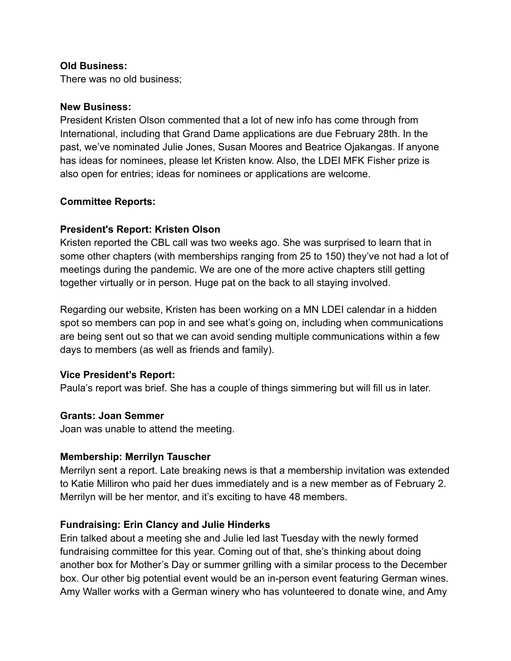### **Old Business:**

There was no old business;

#### **New Business:**

President Kristen Olson commented that a lot of new info has come through from International, including that Grand Dame applications are due February 28th. In the past, we've nominated Julie Jones, Susan Moores and Beatrice Ojakangas. If anyone has ideas for nominees, please let Kristen know. Also, the LDEI MFK Fisher prize is also open for entries; ideas for nominees or applications are welcome.

### **Committee Reports:**

### **President's Report: Kristen Olson**

Kristen reported the CBL call was two weeks ago. She was surprised to learn that in some other chapters (with memberships ranging from 25 to 150) they've not had a lot of meetings during the pandemic. We are one of the more active chapters still getting together virtually or in person. Huge pat on the back to all staying involved.

Regarding our website, Kristen has been working on a MN LDEI calendar in a hidden spot so members can pop in and see what's going on, including when communications are being sent out so that we can avoid sending multiple communications within a few days to members (as well as friends and family).

#### **Vice President's Report:**

Paula's report was brief. She has a couple of things simmering but will fill us in later.

#### **Grants: Joan Semmer**

Joan was unable to attend the meeting.

#### **Membership: Merrilyn Tauscher**

Merrilyn sent a report. Late breaking news is that a membership invitation was extended to Katie Milliron who paid her dues immediately and is a new member as of February 2. Merrilyn will be her mentor, and it's exciting to have 48 members.

#### **Fundraising: Erin Clancy and Julie Hinderks**

Erin talked about a meeting she and Julie led last Tuesday with the newly formed fundraising committee for this year. Coming out of that, she's thinking about doing another box for Mother's Day or summer grilling with a similar process to the December box. Our other big potential event would be an in-person event featuring German wines. Amy Waller works with a German winery who has volunteered to donate wine, and Amy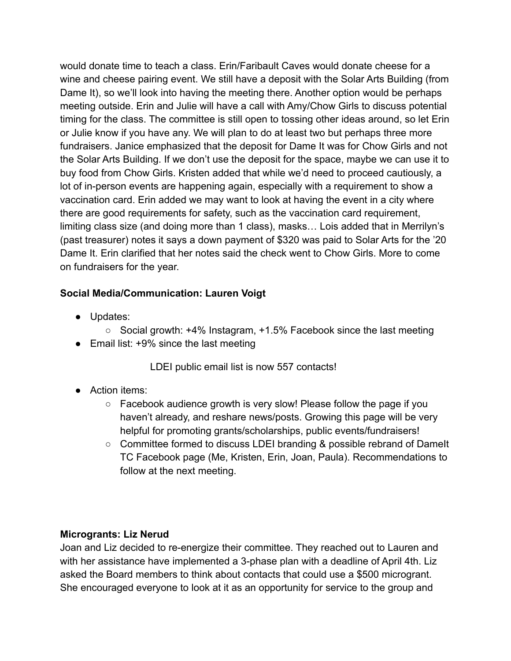would donate time to teach a class. Erin/Faribault Caves would donate cheese for a wine and cheese pairing event. We still have a deposit with the Solar Arts Building (from Dame It), so we'll look into having the meeting there. Another option would be perhaps meeting outside. Erin and Julie will have a call with Amy/Chow Girls to discuss potential timing for the class. The committee is still open to tossing other ideas around, so let Erin or Julie know if you have any. We will plan to do at least two but perhaps three more fundraisers. Janice emphasized that the deposit for Dame It was for Chow Girls and not the Solar Arts Building. If we don't use the deposit for the space, maybe we can use it to buy food from Chow Girls. Kristen added that while we'd need to proceed cautiously, a lot of in-person events are happening again, especially with a requirement to show a vaccination card. Erin added we may want to look at having the event in a city where there are good requirements for safety, such as the vaccination card requirement, limiting class size (and doing more than 1 class), masks… Lois added that in Merrilyn's (past treasurer) notes it says a down payment of \$320 was paid to Solar Arts for the '20 Dame It. Erin clarified that her notes said the check went to Chow Girls. More to come on fundraisers for the year.

# **Social Media/Communication: Lauren Voigt**

- Updates:
	- Social growth: +4% Instagram, +1.5% Facebook since the last meeting
- Email list: +9% since the last meeting

LDEI public email list is now 557 contacts!

- Action items:
	- $\circ$  Facebook audience growth is very slow! Please follow the page if you haven't already, and reshare news/posts. Growing this page will be very helpful for promoting grants/scholarships, public events/fundraisers!
	- Committee formed to discuss LDEI branding & possible rebrand of DameIt TC Facebook page (Me, Kristen, Erin, Joan, Paula). Recommendations to follow at the next meeting.

## **Microgrants: Liz Nerud**

Joan and Liz decided to re-energize their committee. They reached out to Lauren and with her assistance have implemented a 3-phase plan with a deadline of April 4th. Liz asked the Board members to think about contacts that could use a \$500 microgrant. She encouraged everyone to look at it as an opportunity for service to the group and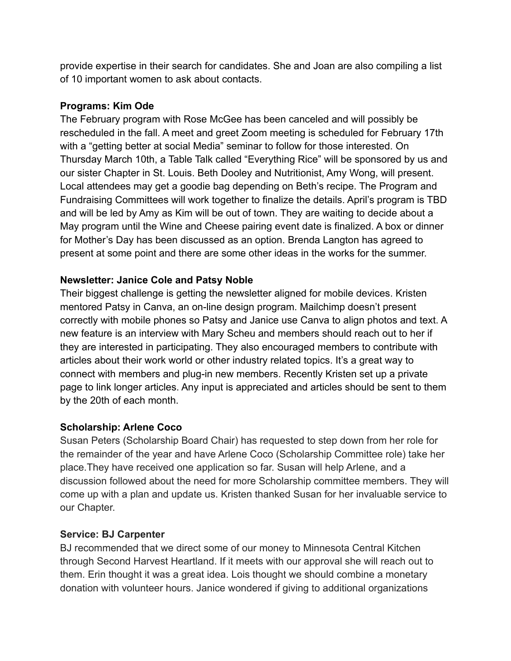provide expertise in their search for candidates. She and Joan are also compiling a list of 10 important women to ask about contacts.

# **Programs: Kim Ode**

The February program with Rose McGee has been canceled and will possibly be rescheduled in the fall. A meet and greet Zoom meeting is scheduled for February 17th with a "getting better at social Media" seminar to follow for those interested. On Thursday March 10th, a Table Talk called "Everything Rice" will be sponsored by us and our sister Chapter in St. Louis. Beth Dooley and Nutritionist, Amy Wong, will present. Local attendees may get a goodie bag depending on Beth's recipe. The Program and Fundraising Committees will work together to finalize the details. April's program is TBD and will be led by Amy as Kim will be out of town. They are waiting to decide about a May program until the Wine and Cheese pairing event date is finalized. A box or dinner for Mother's Day has been discussed as an option. Brenda Langton has agreed to present at some point and there are some other ideas in the works for the summer.

# **Newsletter: Janice Cole and Patsy Noble**

Their biggest challenge is getting the newsletter aligned for mobile devices. Kristen mentored Patsy in Canva, an on-line design program. Mailchimp doesn't present correctly with mobile phones so Patsy and Janice use Canva to align photos and text. A new feature is an interview with Mary Scheu and members should reach out to her if they are interested in participating. They also encouraged members to contribute with articles about their work world or other industry related topics. It's a great way to connect with members and plug-in new members. Recently Kristen set up a private page to link longer articles. Any input is appreciated and articles should be sent to them by the 20th of each month.

## **Scholarship: Arlene Coco**

Susan Peters (Scholarship Board Chair) has requested to step down from her role for the remainder of the year and have Arlene Coco (Scholarship Committee role) take her place.They have received one application so far. Susan will help Arlene, and a discussion followed about the need for more Scholarship committee members. They will come up with a plan and update us. Kristen thanked Susan for her invaluable service to our Chapter.

## **Service: BJ Carpenter**

BJ recommended that we direct some of our money to Minnesota Central Kitchen through Second Harvest Heartland. If it meets with our approval she will reach out to them. Erin thought it was a great idea. Lois thought we should combine a monetary donation with volunteer hours. Janice wondered if giving to additional organizations